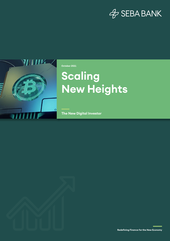## $\mathcal{B}$  SEBA BANK



**October 2021**

# **Scaling New Heights**

**The New Digital Investor**

**Redefining Finance for the New Economy**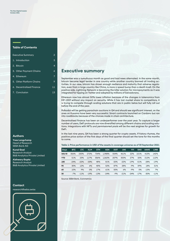#### **Table of Contents**

| <b>Executive Summary</b> | $\overline{c}$ |
|--------------------------|----------------|
| 1. Introduction          | 3              |
| 2. Bitcoin               | 4              |
| 3. Other Payment Chains  | 6              |
| 4. Ethereum              | 7              |
| 5. Other Platform Chains | 9              |
| 6. Decentralised Finance | 11             |
| 7. Conclusion            | 13             |

#### **Authors**

**Yves Longchamp** Head of Research SEBA Bank AG

**Kunal Goel** Research Analyst B&B Analytics Private Limited

**Aishwary Gupta** Research Analyst B&B Analytics Private Limited

#### **Contact**

research@seba.swiss



#### **Executive summary**

September was a tumultuous month as good and bad news alternated. In the same month, bitcoin became legal tender in one country while another country banned all trading activities. In our view, bitcoin has shown enough resilience and maturity that adverse regulation, even from a large country like China, is more a speed bump than a death knell. On the positive side, Lightning Network is becoming the killer solution for micropayments as it was integrated for tipping on Twitter and adopted by millions of Salvadorans.

Ethereum now has almost 50% lower inflation because of the changes in tokenomics from EIP-1559 without any impact on security. While it has lost market share to competitors, it is trying to compete through scaling solutions that are in public betas but will fully roll out before the end of the year.

Polkadot will be getting parachain auctions in Q4 and should see significant interest, as the ones on Kusama have been very successful. Smart contracts launched on Cardano but ran into roadblocks because of the choices made in chain architecture.

Decentralised finance has been an underperformer over the past year. To capture a larger number of users, DeFi protocols are now diversified among different chains and scaling solutions. Integrations with NFTs and permissioned pools will be the next engines for growth for DeFi.

In the last nine years, Q4 has been a strong quarter for crypto assets. If history rhymes, the positive price action of the first days of the final quarter should set the tone for the months to come.

**Table 1: Price performance in USD of the assets in coverage universe as of 30 September 2021**

| <b>Days</b> | <b>BTC</b> | <b>LTC</b> | <b>XLM</b> | <b>ETH</b> | <b>ADA</b> | <b>DOT</b> | <b>UNI</b> | <b>YFI</b> | <b>SNX</b> | <b>AAVE</b> | <b>LINK</b> |
|-------------|------------|------------|------------|------------|------------|------------|------------|------------|------------|-------------|-------------|
| 365/SI      | 306%       | 230%       | 272%       | 734%       | 1.988%     | 554%       | 461%       | 22%        | 101%       | 415%        | 142%        |
| <b>YTD</b>  | 51%        | 23%        | 117%       | 306%       | 1.062%     | 207%       | 353%       | 27%        | 32%        | 212%        | 112%        |
| 180         | $-24%$     | $-22%$     | $-33%$     | 48%        | 81%        | $-32%$     | $-22%$     | $-19%$     | $-51%$     | $-28%$      | $-19%$      |
| 90          | 30%        | 12%        | 6%         | 40%        | 52%        | 87%        | 28%        | $-9%$      | 39%        | 18%         | 31%         |
| 60          | 10%        | 9%         | 0%         | 17%        | 61%        | 55%        | 6%         | $-9%$      | 0%         | $-13%$      | 7%          |
| 30          | $-7%$      | $-11%$     | $-19%$     | $-13%$     | $-24%$     | $-9%$      | $-21%$     | $-24%$     | $-17%$     | $-30%$      | $-11%$      |

Source: SEBA Bank, Coinmetrics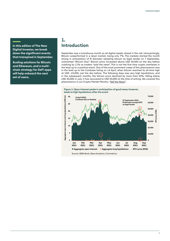**In this edition of The New Digital Investor, we break down the significant events that transpired in September.** 

**Scaling solutions for Bitcoin and Ethereum, and a multichain strategy for DeFi apps will help onboard the next set of users.** 

### **1. Introduction**

September was a tumultuous month as all digital assets closed in the red. Unsurprisingly, Bitcoin outperformed in a down market, losing only 7%. The markets started the month strong in anticipation of El Salvador adopting bitcoin as legal tender on 7 September, nicknamed "Bitcoin Day". Bitcoin price increased above USD 50,000 on the day before crashing by 11% as traders "sold the news". This is not the first time crypto overheats in the lead up to a positive event. One of the most prominent cases of this phenomenon was in the lead up to the Coinbase listing on 14 April, when bitcoin reached its all-time high at USD ~63,000, just the day before. The following days saw very high liquidations, and in the subsequent months, the bitcoin price declined by more than 50%, falling below USD 30,000 in July. It has recovered to USD 50,000 at the time of writing. We covered this phenomenon in our Crypto Market Monitor, "Sell the News".





Source: SEBA Bank, Skew Analytics, Coinmetrics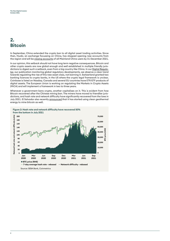### **2. Bitcoin**

In September, China extended the crypto ban to all digital asset trading activities. Since then, Huobi, an exchange focussing on China, has stopped opening new accounts from the region and will be closing accounts of all Mainland China users by 31 December 2021.

In our opinion, this setback should not have long term negative consequences. Bitcoin and other crypto assets are now global enough and well established in multiple friendly jurisdictions to digest such a setback, even from a big country like China. In our Digital Regulator, our publication monitoring global regulatory developments, we observe a clear trend towards regulating the rise of this new asset class, not banning it. Switzerland granted two banking licences to crypto banks, in the US where the crypto legal framework is unclear, Coinbase is listed on Nasdaq. Canada and several EU countries have ETP/ETF products of digital assets. The European Union is working on regulating the Markets in Crypto Assets (MiCA) and will implement a framework in two to three years.

Whenever a government bans crypto, another capitalises on it. This is evident from how Bitcoin recovered after the Chinese mining ban. The miners have moved to friendlier jurisdictions, and hash rate and network difficulty have significantly recovered from the lows in July 2021. El Salvador also recently **announced** that it has started using clean geothermal energy to mine bitcoin as well.

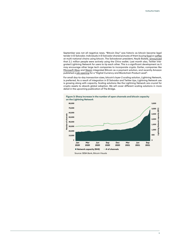September was not all negative news. "Bitcoin Day" was historic as bitcoin became legal tender in El Salvador. Individuals in El Salvador shared pictures of them buying food or coffee at multi-national chains using bitcoin. The Salvadoran president, Nayib Bukele, announced that 2.1 million people were actively using the Chivo wallet. Last month also, Twitter integrated Lightning Network for users to tip each other. This is a significant development as it may encourage other large tech companies to incorporate crypto. Earlier, companies like Microsoft Xbox and Steam integrated Bitcoin as a payment solution, and recently Amazon published a job opening for a "Digital Currency and Blockchain Product Lead".

For small day-to-day transaction sizes, bitcoin's layer-2 scaling solution, Lightning Network, is preferred. As a result of integration in El Salvador and Twitter tips, Lightning Network use is growing along with capacity. Scaling solutions like the Lightning Network are crucial for crypto assets to absorb global adoption. We will cover different scaling solutions in more detail in the upcoming publication of The Bridge.



**Figure 3: Sharp increase in the number of open channels and bitcoin capacity**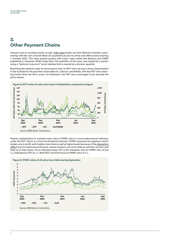### **3. Other Payment Chains**

Litecoin had an exciting month as well. Fake news broke out that Walmart entered a partnership with the coin and will allow LTC payments across its online and offline stores starting 1 October 2021. This news spread quickly, with major news outlets like Reuters and CNBC publishing it. However, Globe News Wire, the publisher of the news, was duped by a person using a "walmart-corp.com" email address that is owned by a domain squatter.

Revisiting the network value to transactions ratio or NVT ratio, we see a sharp improvement in the multiple for the payment chains Bitcoin, Litecoin, and Stellar, with the NVT ratio reducing further than the fall in price. For Ethereum, the NVT was unchanged if you exclude the price impact.



Market capitalisation to realised value ratio or MVRV ratio is a more behavioural indicator, unlike the NVT, which is a more fundamental indicator. MVRV measures the degree to which holders are in profit, with holders more likely to sell at higher levels because of the *disposition* effect found in behavioural finance, where investors are more likely to sell their winners and hold on to their losers. On an absolute basis, LTC is the cheapest, with an MVRV ratio of just 1.1, followed by ETH at 1.7. Both BTC and XLM have an MVRV ratio of 2.1.

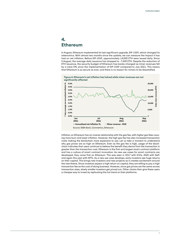### **4. Ethereum**

In August, Ethereum implemented its last significant upgrade, EIP-1559, which changed its tokenomics. With almost two months since the update, we can measure the impact it has had on net inflation. Before EIP-1559, approximately 14,000 ETH were issued daily. Since 5 August, the average daily issuance has dropped to ~7,500 ETH. Despite the reduction of ETH issuance, the security budget of Ethereum has barely changed as miner revenues fell by a mere 5% since the implementation of EIP-1559 compared to July 2021. This means that Ethereum is as secure as ever, and there is no reason for miners to be dissatisfied.



Inflation on Ethereum has an inverse relationship with the gas fee, with higher gas fees causing more burn and lower inflation. However, the high gas fee has also increased transaction costs making the blockchain more expensive to use. Let us take a moment to understand why gas prices are so high on Ethereum. Even as the gas fee is high, usage of the blockchain indicates that users continue to believe the benefit they derive from the transaction is greater than the transaction cost. Ethereum is the first and largest smart contract platform and has a culture of smart contract innovation. As new use cases for smart contracts are developed, they come first on Ethereum. This was seen in 2017 with ICOs, 2020 with DeFi and again this year with NFTs. As a new use case develops, early investors see huge returns on their capital. This brings new investors and new projects as it creates excitement around the new theme. Since investors expect a high return on capital, they are willing to pay a high transaction fee as the cost of doing business. However, since gas prices are the same across transaction sizes, slowly smaller investors get priced out. Other chains then give these users a cheaper way to invest by replicating the hot trend on their platforms.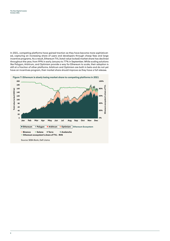In 2021, competing platforms have gained traction as they have become more sophisticated, capturing an increasing share of users and developers through cheap fees and large incentive programs. As a result, Ethereum TVL (total value locked) market share has declined throughout the year, from 99% in early January to 77% in September. While scaling solutions like Polygon, Arbitrum, and Optimism provide a way for Ethereum to scale, their adoption is still at a fraction of other platforms. Arbitrum and Optimism are both in beta and do not yet have an incentives program, their market share should improve as they have a full release.

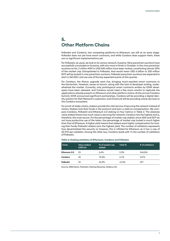### **5. Other Platform Chains**

Polkadot and Cardano, two competing platforms to Ethereum, are still at an early stage. Polkadot does not yet have smart contracts, and while Cardano does support them, there are no significant implementations yet.

For Polkadot, as usual, we look to its canary network, Kusama. Nine parachain auctions have successfully concluded on Kusama, with two more to finish in October. In the nine parachain auctions so far, 2 million KSM or USD 600 million have been locked, constituting almost 20% of the market cap. Extrapolated to Polkadot, that would mean USD 6 billion or 200 million DOT will be locked in nine parachain auctions. Polkadot parachain auctions are expected to start in Q4 2021 and are one of the key expected events of this quarter.

For Cardano, the Alonzo upgrade went live, bringing much-awaited smart contracts to the blockchain. However, issues at launch, along with the lack of developer tooling, underwhelmed the market. Currently, only prototypical smart contracts written by IOHK developers have been released, and Cardano would need a few more months to replicate the applications already present on Ethereum and other platform chains. At the annual Cardano Summit, IOHK announced significant partnerships. Cardano will be providing a digital identity solution for Dish Network's customers, and ChainLink will be providing oracle services to the Cardano ecosystem.

For proof-of-stake chains, stakers provide the vital service of securing the network instead of miners. Stakers lock their funds in the protocol and earn a yield as compensation. We compare Cardano, Polkadot and Ethereum 2.0 staking on four metrics in Table 2. The absolute value staked shows how much value is securing the network; Cardano has the highest and is, therefore, the most secure. For the percentage of market cap staked, since ADA and DOT do not have productive use of the token, the percentage of market cap locked is much higher than that of Ethereum. A higher yield means that stakers want higher compensation for locking their funds; Polkadot stakers earn the highest yield. The number of validators represents how decentralised the security is; however, this is inflated for Ethereum as it has a cap of 32 ETH per validator. Among the other two, Cardano leads with 7x the number of validators of Polkadot.

#### **Table 2: Staking statistics of Ethereum, Cardano and Polkadot**

| <b>Chain</b> | <b>Value staked</b><br>(USD bn) | % of market cap<br>staked | Yield % | # of validators |
|--------------|---------------------------------|---------------------------|---------|-----------------|
| Ethereum 2.0 | 25                              | 6.6%                      | 5.3%    | 244.556         |
| Cardano      | 45                              | 70.4%                     | 6.1%    | 2.076           |
| Polkadot     | 20                              | 63.5%                     | 13.3%   | 297             |

Source: SEBA Bank, Polkadot, Staking Rewards, Stakers.info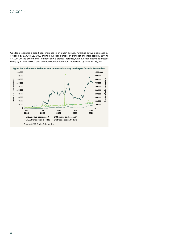Cardano recorded a significant increase in on-chain activity. Average active addresses increased by 51% to 151,000, and the average number of transactions increased by 85% to 89,000. On the other hand, Polkadot saw a steady increase, with average active addresses rising by 12% to 30,000 and average transaction count increasing by 28% to 183,000.

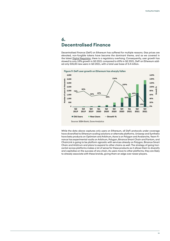### **6. Decentralised Finance**

Decentralised finance (DeFi) on Ethereum has suffered for multiple reasons. Gas prices are elevated, non-fungible tokens have become the dominant theme, and as we covered in the latest Digital Regulator, there is a regulatory overhang. Consequently, user growth has slowed to only 18% growth in Q3 2021 compared to 65% in Q2 2021. DeFi on Ethereum added only 535,00 new users in Q3 2021, with a total user base of 3.4 million.



While the data above captures only users on Ethereum, all DeFi protocols under coverage have diversified to Ethereum scaling solutions or alternate platforms. Uniswap and Synthetix have beta products on Optimism and Arbitrum, Aave is on Polygon and Avalanche, Yearn Finance has experimental vaults on Arbitrum, Polygon, Binance Smart Chain and Fantom, and ChainLink is going to be platform agnostic with services already on Polygon, Binance Smart Chain and Arbitrum and plans to expand to other chains as well. The strategy of going horizontal across platforms makes a lot of sense for these products as it allows them to diversify and capitalise on the success of any chain. As users move to other platforms, they are likely to already associate with these brands, giving them an edge over newer players.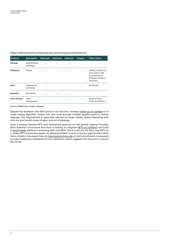#### **Table 3: DeFi products are following the users and going multi-platform**

| Protocol             | <b>Description</b>        | Ethereum | Optimism | Arbitrum | Polygon | Other chains                                                                                 |
|----------------------|---------------------------|----------|----------|----------|---------|----------------------------------------------------------------------------------------------|
| Uniswap              | Decentralised<br>exchange |          |          |          |         |                                                                                              |
| ChainLink            | Oracle                    |          |          | ✓        | ✓       | Present on Binance<br>Smart Chain, Will<br>be launching on<br>Polkadot, Cardano,<br>and more |
| Aave                 | Lending and<br>borrowing  |          |          |          |         | Avalanche                                                                                    |
| <b>Synthetix</b>     | Derivatives               |          |          |          |         |                                                                                              |
| <b>Yearn Finance</b> | Asset<br>management       | ✓        |          |          |         | <b>Bingnce Smart</b><br>Chain and Fantom                                                     |

Source: SEBA Bank, Project websites

Despite the slowdown, the DeFi space is not dormant. Uniswap rolled out an update to its trade routing algorithm. Orders can now route through multiple liquidity pools to reduce slippage. This improvement is especially relevant for larger trades, where interacting with only one pool would cause a higher amount of slippage.

Aave is looking towards NFTs and institutional pools as its next growth engines. Founder, Stani Kulechov, announced that Aave is looking to integrate NFTs as collateral and build a social media platform connecting DeFi and NFTs. This is a win-win for Aave and NFTs as it makes NFTs productive assets by allowing holders to lend or borrow against them while Aave unlocks a new asset class. An Aave governance vote on institutional pools is proposed to make Fireblocks a whitelister for the institutions, which suggests that Aave Arc is around the corner.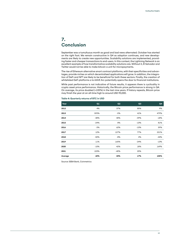### **7. Conclusion**

September was a tumultuous month as good and bad news alternated. October has started on the right foot. We remain constructive in Q4 as adoption continues, and new developments are likely to create new opportunities. Scalability solutions are implemented, providing faster and cheaper transactions to end-users. In this context, the Lightning Network is an excellent example of how transformative scalability solutions are. Without it, El Salvador and Twitter would not be able to make bitcoin a unit for micropayments.

The rise of Ethereum alternative smart contract platforms, with their specificities and advantages, provide niches on which decentralised applications will grow. In addition, the integration of DeFi and NFT are likely to be beneficial for both these sectors. Finally, the creation of whitelisted DeFi platforms a la AAVE Arc potentially opens the door to financial institutions.

While past performance is not indicative of future results, it appears there is cyclicality in crypto asset price performance. Historically, the Bitcoin price performance is strong in Q4. On average, its price doubled (+105%) in the last nine years. If history repeats, Bitcoin price may finish the year at an all-time high to around USD 90,000.

| Year    | Q1     | Q <sub>2</sub> | Q3     | Q4     |
|---------|--------|----------------|--------|--------|
| 2012    | 4%     | 37%            | 85%    | 9%     |
| 2013    | 593%   | $-5%$          | 41%    | 479%   |
| 2014    | $-38%$ | 40%            | $-39%$ | $-18%$ |
| 2015    | $-24%$ | 8%             | $-10%$ | 81%    |
| 2016    | $-3%$  | 62%            | $-10%$ | 59%    |
| 2017    | 12%    | 127%           | 77%    | 221%   |
| 2018    | $-50%$ | $-8%$          | 4%     | $-44%$ |
| 2019    | 11%    | 165%           | $-24%$ | $-13%$ |
| 2020    | $-10%$ | 42%            | 18%    | 169%   |
| 2021    | 103%   | $-40%$         | 25%    |        |
| Average | 60%    | 43%            | 17%    | 105%   |

#### **Table 4: Quarterly returns of BTC in USD**

Source: SEBA Bank, Coinmetrics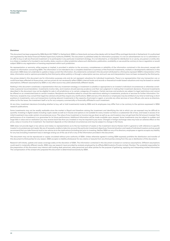#### **Disclaimer**

This document has been prepared by SEBA Bank AG ("SEBA") in Switzerland. SEBA is a Swiss bank and securities dealer with its Head Office and legal domicile in Switzerland. It is authorized and regulated by the Swiss Financial Market Supervisory Authority (FINMA). This document is published solely for information purposes; it is not an advertisement nor is it a solicitation or<br>an offer to buy or sell any fina is a citizen or resident of or located in any locality, state, country or other jurisdiction where such distribution, publication, availability or use would be contrary to law or regulation or would subject SEBA to any registration or licensing requirement within such jurisdiction.

No representation or warranty, either express or implied, is provided in relation to the accuracy, completeness or reliability of the information contained in this document, except with respect to information concerning SEBA. The information is not intended to be a complete statement or summary of the financial investments, markets or developments referred to in the document. SEBA does not undertake to update or keep current the information. Any statements contained in this document attributed to a third party represent SEBA's interpretation of the data, information and/or opinions provided by that third party either publicly or through a subscription service, and such use and interpretation have not been reviewed by the third party.

Any prices stated in this document are for information purposes only and do not represent valuations for individual investments. There is no representation that any transaction can or could have been effected at those prices, and any prices do not necessarily reflect SEBA's internal books and records or theoretical model-based valuations and may be based on certain assumptions. Different assumptions by SEBA or any other source may yield substantially different results.

Nothing in this document constitutes a representation that any investment strategy or investment is suitable or appropriate to an investor's individual circumstances or otherwise constitutes a personal recommendation. Investments involve risks, and investors should exercise prudence and their own judgment in making their investment decisions. Financial investments described in the document may not be eligible for sale in all jurisdictions or to certain categories of investors. Certain services and products are subject to legal restrictions and cannot be offered on an unrestricted basis to certain investors. Recipients are therefore asked to consult the restrictions relating to investments, products or services for further information. Furthermore, recipients may consult their legal/tax advisors should they require any clarifications. SEBA and any of its directors or employees may be entitled at any time to hold long or short positions in investments, carry out transactions involving relevant investments in the capacity of principal or agent, or provide any other services or have officers, who serve as directors, either to/for the issuer, the investment itself or to/for any company commercially or financially affiliated to such investment.

At any time, investment decisions (including whether to buy, sell or hold investments) made by SEBA and its employees may differ from or be contrary to the opinions expressed in SEBA research publications.

Some investments may not be readily realizable since the market is illiquid and therefore valuing the investment and identifying the risk to which you are exposed may be difficult to quantify. Investing in digital assets including crypto assets as well as in futures and options is not suitable for every investor as there is a substantial risk of loss, and losses in excess of an initial investment may under certain circumstances occur. The value of any investment or income may go down as well as up, and investors may not get back the full amount invested. Past performance of an investment is no guarantee for its future performance. Additional information will be made available upon request. Some investments may be subject to sudden and large falls in value and on realization you may receive back less than you invested or may be required to pay more. Changes in foreign exchange rates may have an adverse effect on the price, value or income of an investment. Tax treatment depends on the individual circumstances and may be subject to change in the future.

SEBA does not provide legal or tax advice and makes no representations as to the tax treatment of assets or the investment returns thereon both in general or with reference to specific investor's circumstances and needs. We are of necessity unable to take into account the particular investment objectives, financial situation and needs of individual investors and we would recommend that you take financial and/or tax advice as to the implications (including tax) prior to investing. Neither SEBA nor any of its directors, employees or agents accepts any liability for any loss (including investment loss) or damage arising out of the use of all or any of the Information provided in the document.

This document may not be reproduced or copies circulated without prior authority of SEBA. Unless otherwise agreed in writing SEBA expressly prohibits the distribution and transfer of this document to third parties for any reason. SEBA accepts no liability whatsoever for any claims or lawsuits from any third parties arising from the use or distribution of this document.

Research will initiate, update and cease coverage solely at the discretion of SEBA. The information contained in this document is based on numerous assumptions. Different assumptions could result in materially different results. SEBA may use research input provided by analysts employed by its affliate B&B Analytics Private Limited, Mumbai. The analyst(s) responsible for the preparation of this document may interact with trading desk personnel, sales personnel and other parties for the purpose of gathering, applying and interpreting market information The compensation of the analyst who prepared this document is determined exclusively by SEBA.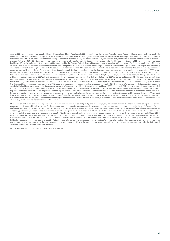Austria: SEBA is not licensed to conduct banking andfinancial activities in Austria nor is SEBA supervised by the Austrian Financial Market Authority (Finanzmarktaufsicht), to which this document has not been submitted for approval. France: SEBA is not licensed to conduct banking and financial activities in France nor is SEBA supervised by French banking and financial authorities. Italy: SEBA is not licensed to conduct banking and financial activities in Italy nor is SEBA supervised by the Bank of Italy (Banca d'Italia) and the Italian Financial Markets Supervisory Authority (CONSOB - Commissione Nazionale per le Società e la Borsa), to which this document has not been submitted for approval. Germany: SEBA is not licensed to conduct banking and financial activities in Germany nor is SEBA supervised by the German Federal Financial Services Supervisory Authority (Bundesanstalt für Finanzdienstleistungsaufsicht), to which this document has not been submitted for approval. Hong-Kong: SEBA is not licensed to conduct banking and financial activities in Hong-Kong nor is SEBA supervised by banking and financial authorities in Hong-Kong, to which this document has not been submitted for approval. This document is not directed to, or intended for distribution to or use by, any person or entity who is a citizen or resident of or located in Hong-Kong where such distribution, publication, availability or use would be contrary to law or regulation or would subject SEBA to any registration or licensing requirement within such jurisdiction. This document is under no circumstances directed to, or intended for distribution, publication to or use by, persons who are not "professional investors" within the meaning of the Securities and Futures Ordinance (Chapter 571 of the Laws of Hong Kong) and any rules made thereunder (the "SFO"). Netherlands: This publication has been produced by SEBA, which is not authorised to provide regulated services in the Netherlands. Portugal: SEBA is not licensed to conduct banking and financial activities in Portugal nor is SEBA supervised by the Portuguese regulators Bank of Portugal "Banco de Portugal" and Portuguese Securities Exchange Commission "Comissao do Mercado de Valores Mobiliarios". Singapore: SEBA is not licensed to conduct banking and financial activities in Singapore nor is SEBA supervised by banking and financial authorities in Singapore, to which this document has not been submitted for approval. This document was provided to you as a result of a request received by SEBA from you and/or persons entitled to make the request on your behalf. Should you have received the document erroneously, SEBA asks that you kindly destroy/delete it and inform SEBA immediately. This document is not directed to, or intended for distribution to or use by, any person or entity who is a citizen or resident of or located in Singapore where such distribution, publication, availability or use would be contrary to law or regulation or would subject SEBA to any registration or licensing requirement within such jurisdiction. This document is under no circumstances directed to, or intended for distribution, publication to or use by, persons who are not accredited investors, expert investors or institutional investors as declned in section 4A of the Securities and Futures Act (Cap. 289 of Singapore) ("SFA"). UK: This document has been prepared by SEBA Bank AG ("SEBA") in Switzerland. SEBA is a Swiss bank and securities dealer with its head offce and legal domicile in Switzerland. It is authorized and regulated by the Swiss Financial Market Supervisory Authority (FINMA). This document is for your information only and is not intended as an offer, or a solicitation of an offer, to buy or sell any investment or other specific product.

SEBA is not an authorised person for purposes of the Financial Services and Markets Act (FSMA), and accordingly, any information if deemed a financial promotion is provided only to persons in the UK reasonably believed to be of a kind to whom promotions may be communicated by an unauthorised person pursuant to an exemption under the FSMA (Financial Promotion) Order 2005 (the "FPO"). Such persons include: (a) persons having professional experience in matters relating to investments ("Investment Professionals") and (b) high net worth bodies corporate, partnerships, unincorporated associations, trusts, etc. falling within Article 49 of the FPO ("High Net Worth Businesses"). High Net Worth Businesses include: (i) a corporation which has called-up share capital or net assets of at least GBP 5 million or is a member of a group in which includes a company with called-up share capital or net assets of at least GBP 5 million (but where the corporation has more than 20 shareholders or it is a subsidiary of a company with more than 20 shareholders, the GBP 5 million share capital / net assets requirement is reduced to GBP 500,000); (ii) a partnership or unincorporated association with net assets of at least GBP 5 million and (iii) a trustee of a trust which has had gross assets (i.e. total assets held before deduction of any liabilities) of at least GBP 10 million at any time within the year preceding the promotion. Any financial promotion information is available only to such persons, and persons of any other description in the UK may not rely on the information in it. Most of the protections provided by the UK regulatory system, and compensation under the UK Financial Services Compensation Scheme, will not be available.

© SEBA Bank AG, Kolinplatz 15, 6300 Zug. 2021. All rights reserved.